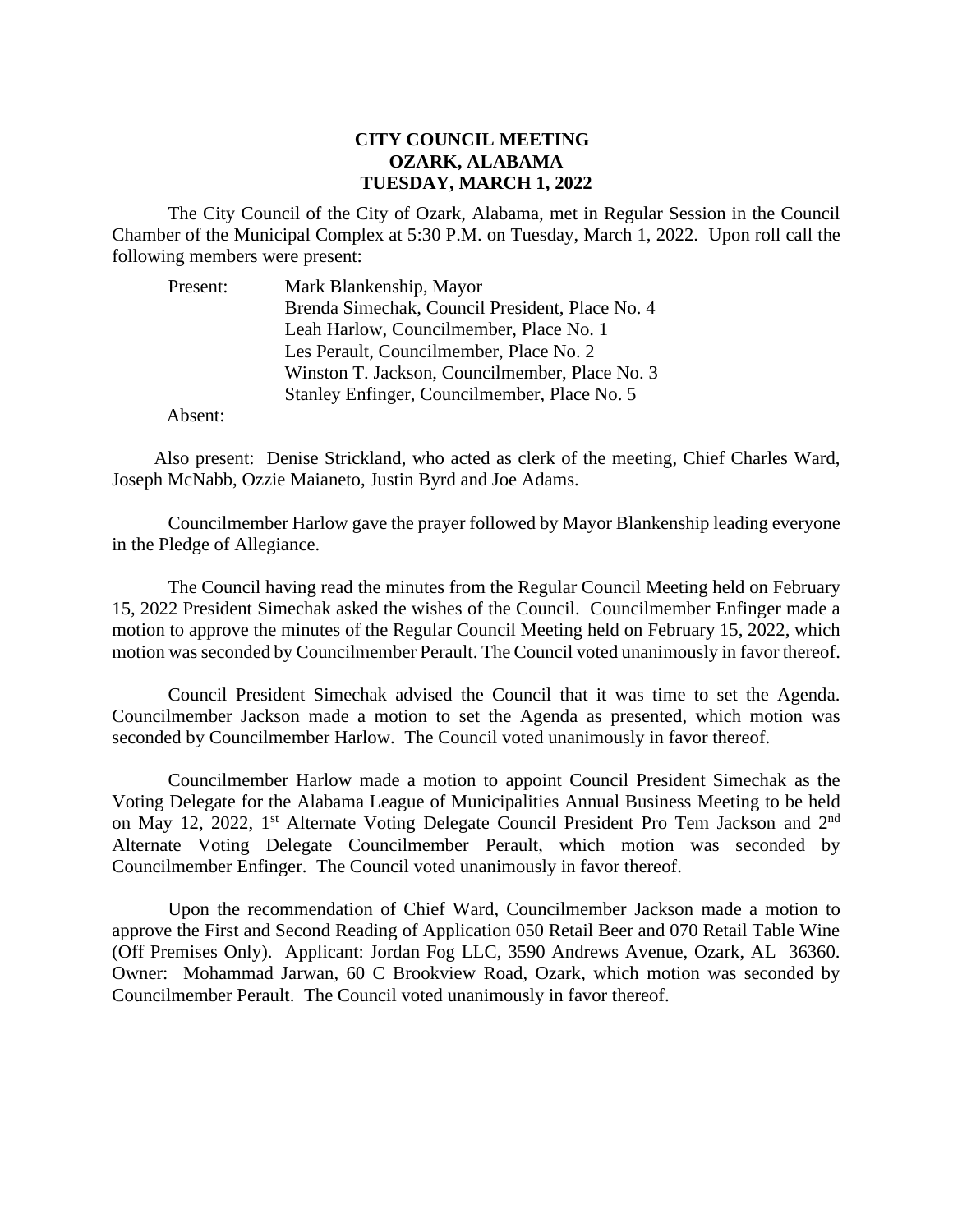## **CITY COUNCIL MEETING OZARK, ALABAMA TUESDAY, MARCH 1, 2022**

The City Council of the City of Ozark, Alabama, met in Regular Session in the Council Chamber of the Municipal Complex at 5:30 P.M. on Tuesday, March 1, 2022. Upon roll call the following members were present:

| Present: | Mark Blankenship, Mayor                         |
|----------|-------------------------------------------------|
|          | Brenda Simechak, Council President, Place No. 4 |
|          | Leah Harlow, Councilmember, Place No. 1         |
|          | Les Perault, Councilmember, Place No. 2         |
|          | Winston T. Jackson, Councilmember, Place No. 3  |
|          | Stanley Enfinger, Councilmember, Place No. 5    |

Absent:

Also present: Denise Strickland, who acted as clerk of the meeting, Chief Charles Ward, Joseph McNabb, Ozzie Maianeto, Justin Byrd and Joe Adams.

Councilmember Harlow gave the prayer followed by Mayor Blankenship leading everyone in the Pledge of Allegiance.

The Council having read the minutes from the Regular Council Meeting held on February 15, 2022 President Simechak asked the wishes of the Council. Councilmember Enfinger made a motion to approve the minutes of the Regular Council Meeting held on February 15, 2022, which motion was seconded by Councilmember Perault. The Council voted unanimously in favor thereof.

Council President Simechak advised the Council that it was time to set the Agenda. Councilmember Jackson made a motion to set the Agenda as presented, which motion was seconded by Councilmember Harlow. The Council voted unanimously in favor thereof.

Councilmember Harlow made a motion to appoint Council President Simechak as the Voting Delegate for the Alabama League of Municipalities Annual Business Meeting to be held on May 12, 2022, 1<sup>st</sup> Alternate Voting Delegate Council President Pro Tem Jackson and 2<sup>nd</sup> Alternate Voting Delegate Councilmember Perault, which motion was seconded by Councilmember Enfinger. The Council voted unanimously in favor thereof.

Upon the recommendation of Chief Ward, Councilmember Jackson made a motion to approve the First and Second Reading of Application 050 Retail Beer and 070 Retail Table Wine (Off Premises Only). Applicant: Jordan Fog LLC, 3590 Andrews Avenue, Ozark, AL 36360. Owner: Mohammad Jarwan, 60 C Brookview Road, Ozark, which motion was seconded by Councilmember Perault. The Council voted unanimously in favor thereof.